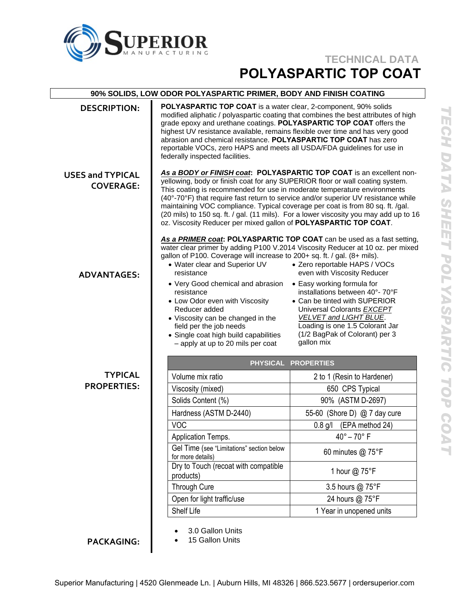

# **TECHNICAL DATA POLYASPARTIC TOP COAT**

| 90% SOLIDS, LOW ODOR POLYASPARTIC PRIMER, BODY AND FINISH COATING |                                                                                                                                                                                                                                                                                                                                                                                                                                                                                                                                                                        |                                                                                                                                                                                                                                                                                                                 |
|-------------------------------------------------------------------|------------------------------------------------------------------------------------------------------------------------------------------------------------------------------------------------------------------------------------------------------------------------------------------------------------------------------------------------------------------------------------------------------------------------------------------------------------------------------------------------------------------------------------------------------------------------|-----------------------------------------------------------------------------------------------------------------------------------------------------------------------------------------------------------------------------------------------------------------------------------------------------------------|
| <b>DESCRIPTION:</b>                                               | POLYASPARTIC TOP COAT is a water clear, 2-component, 90% solids<br>modified aliphatic / polyaspartic coating that combines the best attributes of high<br>grade epoxy and urethane coatings. POLYASPARTIC TOP COAT offers the<br>highest UV resistance available, remains flexible over time and has very good<br>abrasion and chemical resistance. POLYASPARTIC TOP COAT has zero<br>reportable VOCs, zero HAPS and meets all USDA/FDA guidelines for use in<br>federally inspected facilities.                                                                       |                                                                                                                                                                                                                                                                                                                 |
| <b>USES and TYPICAL</b><br><b>COVERAGE:</b>                       | As a BODY or FINISH coat: POLYASPARTIC TOP COAT is an excellent non-<br>yellowing, body or finish coat for any SUPERIOR floor or wall coating system.<br>This coating is recommended for use in moderate temperature environments<br>(40°-70°F) that require fast return to service and/or superior UV resistance while<br>maintaining VOC compliance. Typical coverage per coat is from 80 sq. ft. /gal.<br>(20 mils) to 150 sq. ft. / gal. (11 mils). For a lower viscosity you may add up to 16<br>oz. Viscosity Reducer per mixed gallon of POLYASPARTIC TOP COAT. |                                                                                                                                                                                                                                                                                                                 |
| <b>ADVANTAGES:</b>                                                | As a PRIMER coat: POLYASPARTIC TOP COAT can be used as a fast setting,<br>water clear primer by adding P100 V.2014 Viscosity Reducer at 10 oz. per mixed<br>gallon of P100. Coverage will increase to 200+ sq. ft. / gal. (8+ mils).<br>• Water clear and Superior UV<br>resistance<br>• Very Good chemical and abrasion<br>resistance<br>• Low Odor even with Viscosity<br>Reducer added<br>• Viscosity can be changed in the<br>field per the job needs<br>• Single coat high build capabilities<br>- apply at up to 20 mils per coat                                | • Zero reportable HAPS / VOCs<br>even with Viscosity Reducer<br>• Easy working formula for<br>installations between 40°-70°F<br>• Can be tinted with SUPERIOR<br>Universal Colorants EXCEPT<br><b>VELVET and LIGHT BLUE.</b><br>Loading is one 1.5 Colorant Jar<br>(1/2 BagPak of Colorant) per 3<br>gallon mix |
|                                                                   | PHYSICAL PROPERTIES                                                                                                                                                                                                                                                                                                                                                                                                                                                                                                                                                    |                                                                                                                                                                                                                                                                                                                 |
| <b>TYPICAL</b>                                                    | Volume mix ratio                                                                                                                                                                                                                                                                                                                                                                                                                                                                                                                                                       | 2 to 1 (Resin to Hardener)                                                                                                                                                                                                                                                                                      |
| <b>PROPERTIES:</b>                                                | Viscosity (mixed)                                                                                                                                                                                                                                                                                                                                                                                                                                                                                                                                                      | 650 CPS Typical                                                                                                                                                                                                                                                                                                 |
|                                                                   | Solids Content (%)                                                                                                                                                                                                                                                                                                                                                                                                                                                                                                                                                     | 90% (ASTM D-2697)                                                                                                                                                                                                                                                                                               |
|                                                                   | Hardness (ASTM D-2440)                                                                                                                                                                                                                                                                                                                                                                                                                                                                                                                                                 | 55-60 (Shore D) @ 7 day cure                                                                                                                                                                                                                                                                                    |
|                                                                   | <b>VOC</b>                                                                                                                                                                                                                                                                                                                                                                                                                                                                                                                                                             | 0.8 g/l (EPA method 24)                                                                                                                                                                                                                                                                                         |
|                                                                   | Application Temps.                                                                                                                                                                                                                                                                                                                                                                                                                                                                                                                                                     | $40^\circ - 70^\circ$ F                                                                                                                                                                                                                                                                                         |
|                                                                   | Gel Time (see "Limitations" section below<br>for more details)                                                                                                                                                                                                                                                                                                                                                                                                                                                                                                         | 60 minutes @ 75°F                                                                                                                                                                                                                                                                                               |
|                                                                   | Dry to Touch (recoat with compatible<br>products)                                                                                                                                                                                                                                                                                                                                                                                                                                                                                                                      | 1 hour @ 75°F                                                                                                                                                                                                                                                                                                   |
|                                                                   | <b>Through Cure</b>                                                                                                                                                                                                                                                                                                                                                                                                                                                                                                                                                    | 3.5 hours @ 75°F                                                                                                                                                                                                                                                                                                |
|                                                                   | Open for light traffic/use                                                                                                                                                                                                                                                                                                                                                                                                                                                                                                                                             | 24 hours @ 75°F                                                                                                                                                                                                                                                                                                 |
|                                                                   | Shelf Life                                                                                                                                                                                                                                                                                                                                                                                                                                                                                                                                                             | 1 Year in unopened units                                                                                                                                                                                                                                                                                        |
|                                                                   | 3.0 Gallon Units                                                                                                                                                                                                                                                                                                                                                                                                                                                                                                                                                       |                                                                                                                                                                                                                                                                                                                 |

**PACKAGING:** 

- 
- 15 Gallon Units